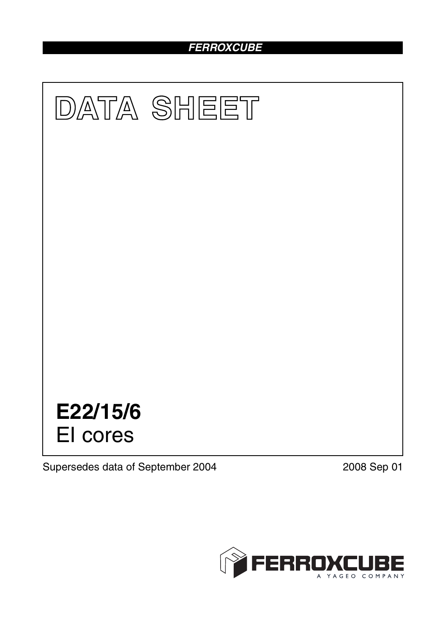# *FERROXCUBE*



Supersedes data of September 2004 2008 Sep 01

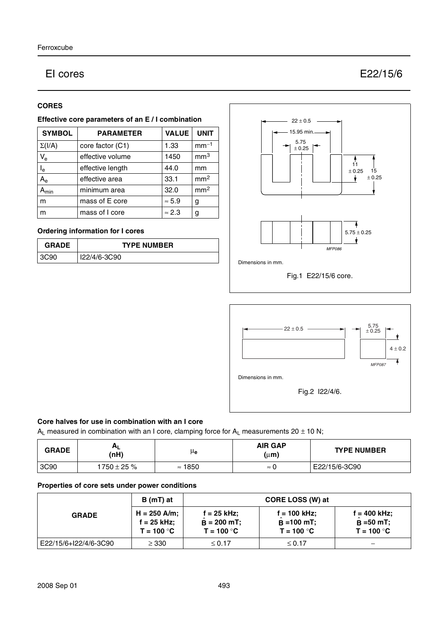# EI cores E22/15/6

### **CORES**

### **Effective core parameters of an E / I combination**

| <b>SYMBOL</b>           | <b>PARAMETER</b> | <b>VALUE</b>  | <b>UNIT</b>     |
|-------------------------|------------------|---------------|-----------------|
| $\Sigma(I/A)$           | core factor (C1) | 1.33          | $mm-1$          |
| $V_{e}$                 | effective volume | 1450          | mm <sup>3</sup> |
| $\mathsf{I}_\mathsf{e}$ | effective length | 44.0          | mm              |
| $A_{\rm e}$             | effective area   | 33.1          | mm <sup>2</sup> |
| $A_{min}$               | minimum area     | 32.0          | mm <sup>2</sup> |
| m                       | mass of E core   | $\approx 5.9$ | g               |
| m                       | mass of I core   | $\approx 2.3$ | g               |

# **Ordering information for I cores**

| <b>GRADE</b> | <b>TYPE NUMBER</b> |  |
|--------------|--------------------|--|
| 390<br>- 26. | I22/4/6-3C90       |  |





# **Core halves for use in combination with an I core**

 $A_L$  measured in combination with an I core, clamping force for  $A_L$  measurements 20  $\pm$  10 N;

| <b>GRADE</b> | (nH)             | μe             | <b>AIR GAP</b><br>$(\mu m)$ | <b>TYPE NUMBER</b> |
|--------------|------------------|----------------|-----------------------------|--------------------|
| 3C90         | $1750 \pm 25 \%$ | $\approx$ 1850 | $\approx$ U                 | E22/15/6-3C90      |

#### **Properties of core sets under power conditions**

| <b>GRADE</b>          | B (mT) at                                     |                                                | CORE LOSS (W) at                                |                                               |
|-----------------------|-----------------------------------------------|------------------------------------------------|-------------------------------------------------|-----------------------------------------------|
|                       | $H = 250$ A/m;<br>f = 25 kHz:<br>$T = 100 °C$ | $f = 25$ kHz;<br>$B = 200$ mT;<br>$T = 100 °C$ | $f = 100$ kHz:<br>$B = 100$ mT;<br>$T = 100 °C$ | f = 400 kHz:<br>$B = 50 mT$ ;<br>$T = 100 °C$ |
| E22/15/6+I22/4/6-3C90 | $\geq$ 330                                    | $\leq 0.17$                                    | $≤ 0.17$                                        |                                               |